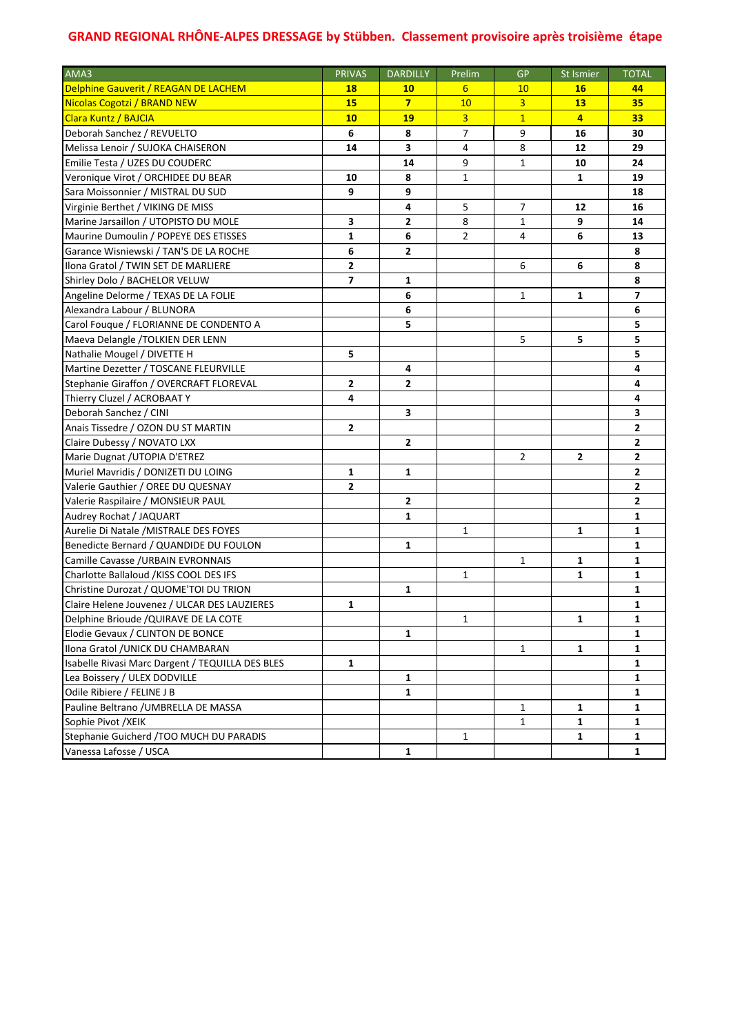| AMA3                                             | <b>PRIVAS</b> | <b>DARDILLY</b> | Prelim         | <b>GP</b>      | St Ismier      | <b>TOTAL</b>   |
|--------------------------------------------------|---------------|-----------------|----------------|----------------|----------------|----------------|
| Delphine Gauverit / REAGAN DE LACHEM             | <b>18</b>     | <b>10</b>       | 6              | 10             | <b>16</b>      | 44             |
| <b>Nicolas Cogotzi / BRAND NEW</b>               | 15            | $\overline{7}$  | 10             | $\overline{3}$ | 13             | 35             |
| Clara Kuntz / BAJCIA                             | 10            | 19              | $\overline{3}$ | $\overline{1}$ | $\overline{4}$ | 33             |
| Deborah Sanchez / REVUELTO                       | 6             | 8               | 7              | 9              | 16             | 30             |
| Melissa Lenoir / SUJOKA CHAISERON                | 14            | 3               | 4              | 8              | 12             | 29             |
| Emilie Testa / UZES DU COUDERC                   |               | 14              | 9              | 1              | 10             | 24             |
| Veronique Virot / ORCHIDEE DU BEAR               | 10            | 8               | 1              |                | 1              | 19             |
| Sara Moissonnier / MISTRAL DU SUD                | 9             | 9               |                |                |                | 18             |
| Virginie Berthet / VIKING DE MISS                |               | 4               | 5              | 7              | 12             | 16             |
| Marine Jarsaillon / UTOPISTO DU MOLE             | 3             | $\mathbf{2}$    | 8              | 1              | 9              | 14             |
| Maurine Dumoulin / POPEYE DES ETISSES            | 1             | 6               | 2              | 4              | 6              | 13             |
| Garance Wisniewski / TAN'S DE LA ROCHE           | 6             | 2               |                |                |                | 8              |
| Ilona Gratol / TWIN SET DE MARLIERE              | 2             |                 |                | 6              | 6              | 8              |
| Shirley Dolo / BACHELOR VELUW                    | 7             | 1               |                |                |                | 8              |
| Angeline Delorme / TEXAS DE LA FOLIE             |               | 6               |                | 1              | 1              | $\overline{ }$ |
| Alexandra Labour / BLUNORA                       |               | 6               |                |                |                | 6              |
| Carol Fougue / FLORIANNE DE CONDENTO A           |               | 5               |                |                |                | 5              |
| Maeva Delangle /TOLKIEN DER LENN                 |               |                 |                | 5              | 5              | 5              |
| Nathalie Mougel / DIVETTE H                      | 5             |                 |                |                |                | 5              |
| Martine Dezetter / TOSCANE FLEURVILLE            |               | 4               |                |                |                | 4              |
| Stephanie Giraffon / OVERCRAFT FLOREVAL          | 2             | $\mathbf{2}$    |                |                |                | 4              |
| Thierry Cluzel / ACROBAAT Y                      | 4             |                 |                |                |                | 4              |
| Deborah Sanchez / CINI                           |               | 3               |                |                |                | 3              |
| Anais Tissedre / OZON DU ST MARTIN               | 2             |                 |                |                |                | 2              |
| Claire Dubessy / NOVATO LXX                      |               | $\mathbf{2}$    |                |                |                | 2              |
| Marie Dugnat / UTOPIA D'ETREZ                    |               |                 |                | 2              | 2              | $\mathbf{2}$   |
| Muriel Mavridis / DONIZETI DU LOING              | 1             | $\mathbf 1$     |                |                |                | 2              |
| Valerie Gauthier / OREE DU QUESNAY               | 2             |                 |                |                |                | 2              |
| Valerie Raspilaire / MONSIEUR PAUL               |               | $\mathbf{2}$    |                |                |                | 2              |
| Audrey Rochat / JAQUART                          |               | $\mathbf{1}$    |                |                |                | 1              |
| Aurelie Di Natale / MISTRALE DES FOYES           |               |                 | 1              |                | $\mathbf{1}$   | 1              |
| Benedicte Bernard / QUANDIDE DU FOULON           |               | $\mathbf{1}$    |                |                |                | 1              |
| Camille Cavasse / URBAIN EVRONNAIS               |               |                 |                | $\mathbf{1}$   | $\mathbf{1}$   | 1              |
| Charlotte Ballaloud / KISS COOL DES IFS          |               |                 | 1              |                | 1              | 1              |
| Christine Durozat / QUOME'TOI DU TRION           |               | $\mathbf{1}$    |                |                |                | 1              |
| Claire Helene Jouvenez / ULCAR DES LAUZIERES     | 1             |                 |                |                |                | 1              |
| Delphine Brioude / QUIRAVE DE LA COTE            |               |                 | 1              |                | 1              | 1              |
| Elodie Gevaux / CLINTON DE BONCE                 |               | 1               |                |                |                | 1              |
| Ilona Gratol / UNICK DU CHAMBARAN                |               |                 |                | 1              | 1              | 1              |
| Isabelle Rivasi Marc Dargent / TEQUILLA DES BLES | 1             |                 |                |                |                | 1              |
| Lea Boissery / ULEX DODVILLE                     |               | 1               |                |                |                | 1              |
| Odile Ribiere / FELINE J B                       |               | 1               |                |                |                | 1              |
| Pauline Beltrano / UMBRELLA DE MASSA             |               |                 |                | 1              | 1              | 1              |
| Sophie Pivot /XEIK                               |               |                 |                | 1              | 1              | 1              |
| Stephanie Guicherd / TOO MUCH DU PARADIS         |               |                 | 1              |                | 1              | 1              |
| Vanessa Lafosse / USCA                           |               | $\mathbf{1}$    |                |                |                | 1              |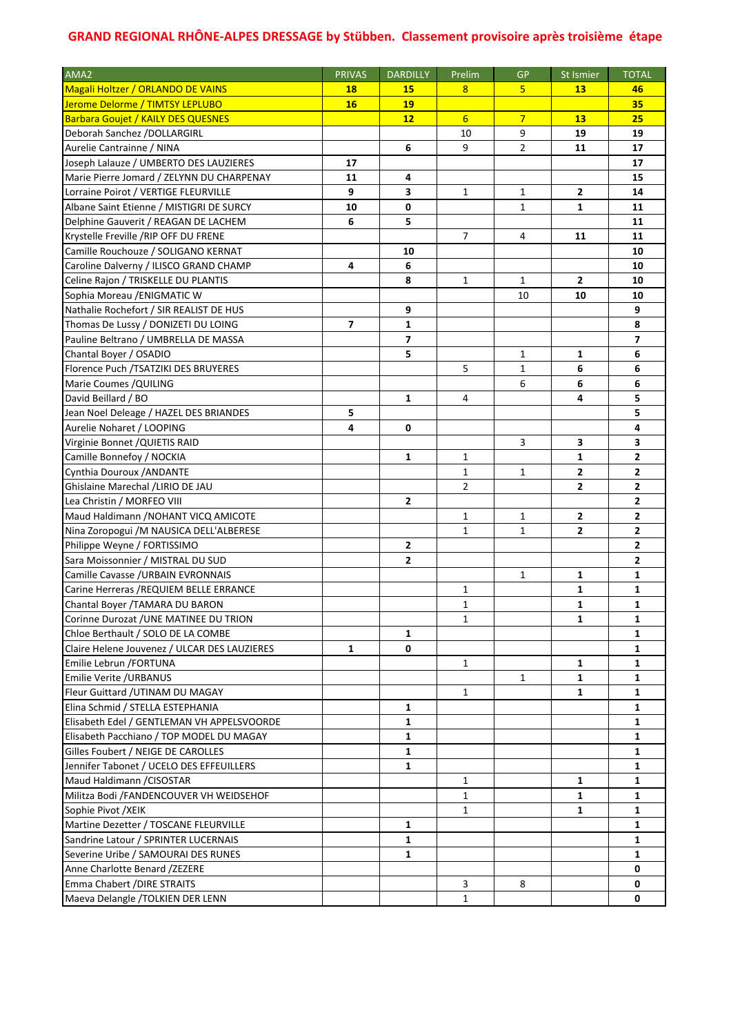| AMA <sub>2</sub>                             | <b>PRIVAS</b>  | <b>DARDILLY</b> | Prelim         | <b>GP</b>      | St Ismier      | <b>TOTAL</b>   |
|----------------------------------------------|----------------|-----------------|----------------|----------------|----------------|----------------|
| <b>Magali Holtzer / ORLANDO DE VAINS</b>     | <b>18</b>      | <b>15</b>       | 8              | 5              | <b>13</b>      | 46             |
| Jerome Delorme / TIMTSY LEPLUBO              | <b>16</b>      | <b>19</b>       |                |                |                | 35             |
| <b>Barbara Goujet / KAILY DES QUESNES</b>    |                | 12              | 6              | $\overline{7}$ | <b>13</b>      | 25             |
| Deborah Sanchez / DOLLARGIRL                 |                |                 | 10             | 9              | 19             | 19             |
| Aurelie Cantrainne / NINA                    |                | 6               | 9              | 2              | 11             | 17             |
| Joseph Lalauze / UMBERTO DES LAUZIERES       | 17             |                 |                |                |                | 17             |
| Marie Pierre Jomard / ZELYNN DU CHARPENAY    | 11             | 4               |                |                |                | 15             |
| Lorraine Poirot / VERTIGE FLEURVILLE         | 9              | 3               | 1              | 1              | 2              | 14             |
| Albane Saint Etienne / MISTIGRI DE SURCY     | 10             | 0               |                | 1              | 1              | 11             |
| Delphine Gauverit / REAGAN DE LACHEM         | 6              | 5               |                |                |                | 11             |
| Krystelle Freville /RIP OFF DU FRENE         |                |                 | 7              | 4              | 11             | 11             |
| Camille Rouchouze / SOLIGANO KERNAT          |                | 10              |                |                |                | 10             |
| Caroline Dalverny / ILISCO GRAND CHAMP       | 4              | 6               |                |                |                | 10             |
| Celine Rajon / TRISKELLE DU PLANTIS          |                | 8               | $\mathbf{1}$   | $\mathbf{1}$   | $\overline{2}$ | 10             |
| Sophia Moreau / ENIGMATIC W                  |                |                 |                | 10             | 10             | 10             |
| Nathalie Rochefort / SIR REALIST DE HUS      |                | 9               |                |                |                | 9              |
| Thomas De Lussy / DONIZETI DU LOING          | $\overline{ }$ | $\mathbf 1$     |                |                |                | 8              |
| Pauline Beltrano / UMBRELLA DE MASSA         |                | $\overline{7}$  |                |                |                | $\overline{7}$ |
| Chantal Boyer / OSADIO                       |                | 5               |                | 1              | 1              | 6              |
| Florence Puch /TSATZIKI DES BRUYERES         |                |                 | 5              | $\mathbf{1}$   | 6              | 6              |
| Marie Coumes / QUILING                       |                |                 |                | 6              | 6              | 6              |
| David Beillard / BO                          |                | $\mathbf{1}$    | 4              |                | 4              | 5              |
| Jean Noel Deleage / HAZEL DES BRIANDES       | 5              |                 |                |                |                | 5              |
| Aurelie Noharet / LOOPING                    | 4              | 0               |                |                |                | 4              |
| Virginie Bonnet / QUIETIS RAID               |                |                 |                | 3              | 3              | 3              |
| Camille Bonnefoy / NOCKIA                    |                | $\mathbf{1}$    | 1              |                | $\mathbf{1}$   | 2              |
| Cynthia Douroux / ANDANTE                    |                |                 | $\mathbf{1}$   | 1              | $\overline{2}$ | 2              |
| Ghislaine Marechal /LIRIO DE JAU             |                |                 | $\overline{2}$ |                | $\overline{2}$ | 2              |
| Lea Christin / MORFEO VIII                   |                | $\mathbf{2}$    |                |                |                | 2              |
| Maud Haldimann / NOHANT VICQ AMICOTE         |                |                 | 1              | 1              | 2              | 2              |
| Nina Zoropogui / M NAUSICA DELL'ALBERESE     |                |                 | 1              | 1              | $\mathbf{2}$   | 2              |
| Philippe Weyne / FORTISSIMO                  |                | $\mathbf{2}$    |                |                |                | $\overline{2}$ |
| Sara Moissonnier / MISTRAL DU SUD            |                | $\overline{2}$  |                |                |                | 2              |
| Camille Cavasse / URBAIN EVRONNAIS           |                |                 |                | 1              | 1              | 1              |
| Carine Herreras / REQUIEM BELLE ERRANCE      |                |                 | 1              |                | 1              | 1              |
| Chantal Boyer / TAMARA DU BARON              |                |                 | $\mathbf{1}$   |                | $\mathbf{1}$   | 1              |
| Corinne Durozat / UNE MATINEE DU TRION       |                |                 | $\mathbf 1$    |                | 1.             | ı              |
| Chloe Berthault / SOLO DE LA COMBE           |                | 1               |                |                |                | 1              |
| Claire Helene Jouvenez / ULCAR DES LAUZIERES | 1              | 0               |                |                |                | 1              |
| Emilie Lebrun / FORTUNA                      |                |                 | 1              |                | 1              | 1              |
| Emilie Verite /URBANUS                       |                |                 |                | 1              | 1              | 1              |
| Fleur Guittard / UTINAM DU MAGAY             |                |                 | $\mathbf{1}$   |                | 1              | 1              |
| Elina Schmid / STELLA ESTEPHANIA             |                | 1               |                |                |                | 1              |
| Elisabeth Edel / GENTLEMAN VH APPELSVOORDE   |                | $\mathbf{1}$    |                |                |                | 1              |
| Elisabeth Pacchiano / TOP MODEL DU MAGAY     |                | $\mathbf{1}$    |                |                |                | 1              |
| Gilles Foubert / NEIGE DE CAROLLES           |                | $\mathbf{1}$    |                |                |                | 1              |
| Jennifer Tabonet / UCELO DES EFFEUILLERS     |                | $\mathbf{1}$    |                |                |                | 1              |
| Maud Haldimann / CISOSTAR                    |                |                 | 1              |                | 1              | 1              |
| Militza Bodi /FANDENCOUVER VH WEIDSEHOF      |                |                 | 1              |                | 1              | 1              |
| Sophie Pivot /XEIK                           |                |                 | 1              |                | 1              | 1              |
| Martine Dezetter / TOSCANE FLEURVILLE        |                | 1               |                |                |                | 1              |
| Sandrine Latour / SPRINTER LUCERNAIS         |                | $\mathbf{1}$    |                |                |                | 1              |
| Severine Uribe / SAMOURAI DES RUNES          |                | $\mathbf{1}$    |                |                |                | 1              |
| Anne Charlotte Benard /ZEZERE                |                |                 |                |                |                | 0              |
| Emma Chabert /DIRE STRAITS                   |                |                 | 3              | 8              |                | 0              |
| Maeva Delangle / TOLKIEN DER LENN            |                |                 | 1              |                |                | 0              |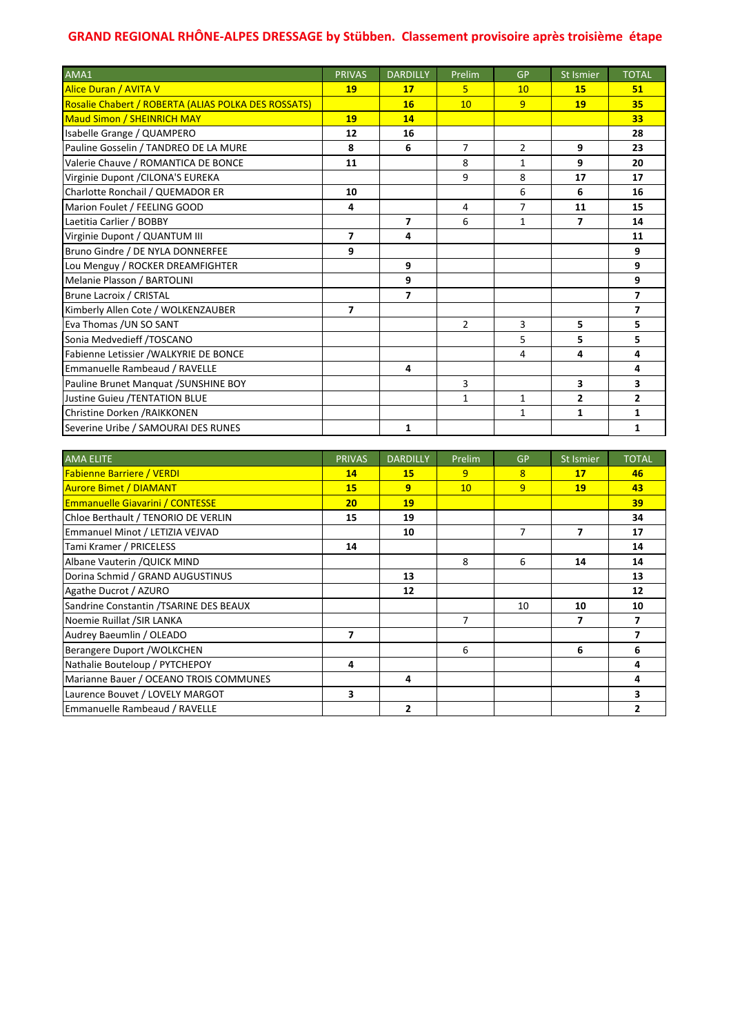| AMA1                                                | <b>PRIVAS</b>  | <b>DARDILLY</b> | Prelim         | <b>GP</b>      | <b>St Ismier</b> | <b>TOTAL</b>             |
|-----------------------------------------------------|----------------|-----------------|----------------|----------------|------------------|--------------------------|
| <b>Alice Duran / AVITA V</b>                        | 19             | 17              | 5.             | 10             | 15               | 51                       |
| Rosalie Chabert / ROBERTA (ALIAS POLKA DES ROSSATS) |                | 16              | 10             | $\overline{9}$ | 19               | 35                       |
| <b>Maud Simon / SHEINRICH MAY</b>                   | 19             | 14              |                |                |                  | 33                       |
| Isabelle Grange / QUAMPERO                          | 12             | 16              |                |                |                  | 28                       |
| Pauline Gosselin / TANDREO DE LA MURE               | 8              | 6               | $\overline{7}$ | $\overline{2}$ | 9                | 23                       |
| Valerie Chauve / ROMANTICA DE BONCE                 | 11             |                 | 8              | $\mathbf{1}$   | 9                | 20                       |
| Virginie Dupont / CILONA'S EUREKA                   |                |                 | 9              | 8              | 17               | 17                       |
| Charlotte Ronchail / QUEMADOR ER                    | 10             |                 |                | 6              | 6                | 16                       |
| Marion Foulet / FEELING GOOD                        | 4              |                 | 4              | $\overline{7}$ | 11               | 15                       |
| Laetitia Carlier / BOBBY                            |                | $\overline{ }$  | 6              | $\mathbf{1}$   | 7                | 14                       |
| Virginie Dupont / QUANTUM III                       | $\overline{ }$ | 4               |                |                |                  | 11                       |
| Bruno Gindre / DE NYLA DONNERFEE                    | 9              |                 |                |                |                  | 9                        |
| Lou Menguy / ROCKER DREAMFIGHTER                    |                | 9               |                |                |                  | 9                        |
| Melanie Plasson / BARTOLINI                         |                | 9               |                |                |                  | 9                        |
| Brune Lacroix / CRISTAL                             |                | 7               |                |                |                  | $\overline{\phantom{a}}$ |
| Kimberly Allen Cote / WOLKENZAUBER                  | $\overline{7}$ |                 |                |                |                  | $\overline{7}$           |
| Eva Thomas / UN SO SANT                             |                |                 | $\overline{2}$ | 3              | 5                | 5                        |
| Sonia Medvedieff /TOSCANO                           |                |                 |                | 5              | 5                | 5                        |
| Fabienne Letissier /WALKYRIE DE BONCE               |                |                 |                | 4              | 4                | 4                        |
| Emmanuelle Rambeaud / RAVELLE                       |                | 4               |                |                |                  | 4                        |
| Pauline Brunet Manquat / SUNSHINE BOY               |                |                 | 3              |                | 3                | 3                        |
| Justine Guieu /TENTATION BLUE                       |                |                 | 1              | $\mathbf{1}$   | $\overline{2}$   | $\overline{2}$           |
| Christine Dorken / RAIKKONEN                        |                |                 |                | $\mathbf{1}$   | $\mathbf{1}$     | $\mathbf{1}$             |
| Severine Uribe / SAMOURAI DES RUNES                 |                | $\mathbf{1}$    |                |                |                  | $\mathbf{1}$             |

| <b>AMA ELITE</b>                       | <b>PRIVAS</b> | <b>DARDILLY</b> | Prelim          | GP | St Ismier | <b>TOTAL</b> |
|----------------------------------------|---------------|-----------------|-----------------|----|-----------|--------------|
| <b>Fabienne Barriere / VERDI</b>       | 14            | <b>15</b>       | 9               | 8  | 17        | 46           |
| <b>Aurore Bimet / DIAMANT</b>          | 15            | 9               | 10 <sup>°</sup> | 9  | 19        | 43           |
| <b>Emmanuelle Giavarini / CONTESSE</b> | 20            | 19              |                 |    |           | 39           |
| Chloe Berthault / TENORIO DE VERLIN    | 15            | 19              |                 |    |           | 34           |
| Emmanuel Minot / LETIZIA VEJVAD        |               | 10              |                 | 7  | 7         | 17           |
| Tami Kramer / PRICELESS                | 14            |                 |                 |    |           | 14           |
| Albane Vauterin / QUICK MIND           |               |                 | 8               | 6  | 14        | 14           |
| Dorina Schmid / GRAND AUGUSTINUS       |               | 13              |                 |    |           | 13           |
| Agathe Ducrot / AZURO                  |               | 12              |                 |    |           | 12           |
| Sandrine Constantin /TSARINE DES BEAUX |               |                 |                 | 10 | 10        | 10           |
| Noemie Ruillat /SIR LANKA              |               |                 | 7               |    | 7         |              |
| Audrey Baeumlin / OLEADO               | 7             |                 |                 |    |           |              |
| Berangere Duport / WOLKCHEN            |               |                 | 6               |    | 6         | 6            |
| Nathalie Bouteloup / PYTCHEPOY         | 4             |                 |                 |    |           | 4            |
| Marianne Bauer / OCEANO TROIS COMMUNES |               | 4               |                 |    |           | 4            |
| Laurence Bouvet / LOVELY MARGOT        | 3             |                 |                 |    |           | 3            |
| Emmanuelle Rambeaud / RAVELLE          |               | $\overline{2}$  |                 |    |           | 2            |